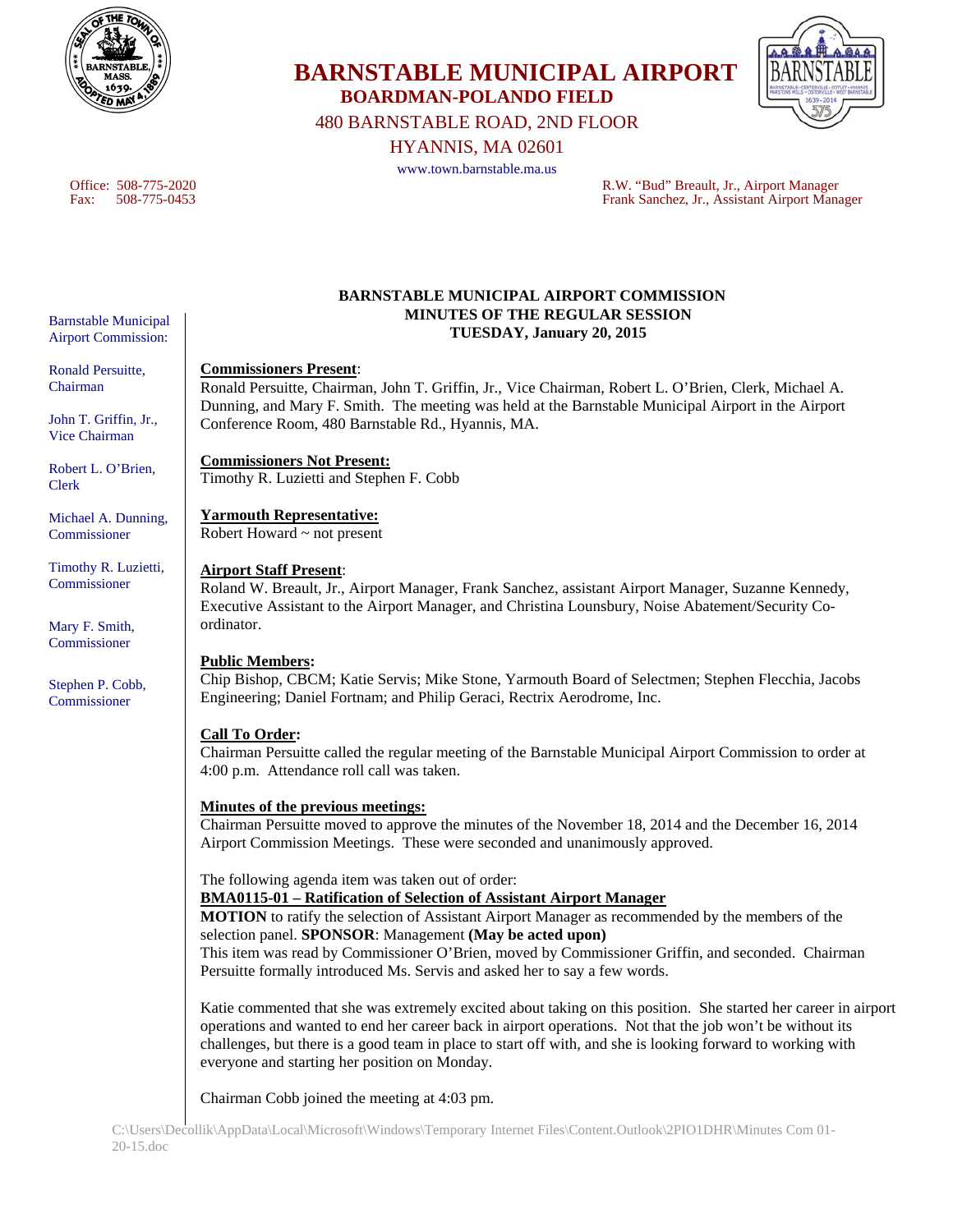

**BARNSTABLE MUNICIPAL AIRPORT BOARDMAN-POLANDO FIELD** 

480 BARNSTABLE ROAD, 2ND FLOOR

HYANNIS, MA 02601

www.town.barnstable.ma.us

Office: 508-775-2020 R.W. "Bud" Breault, Jr., Airport Manager Fax: 508-775-0453 Frank Sanchez, Jr., Assistant Airport Manager

# **BARNSTABLE MUNICIPAL AIRPORT COMMISSION MINUTES OF THE REGULAR SESSION TUESDAY, January 20, 2015**

### **Commissioners Present**:

Ronald Persuitte, Chairman, John T. Griffin, Jr., Vice Chairman, Robert L. O'Brien, Clerk, Michael A. Dunning, and Mary F. Smith. The meeting was held at the Barnstable Municipal Airport in the Airport Conference Room, 480 Barnstable Rd., Hyannis, MA.

**Commissioners Not Present:** 

Timothy R. Luzietti and Stephen F. Cobb

**Yarmouth Representative:**  Robert Howard ~ not present

### **Airport Staff Present**:

Roland W. Breault, Jr., Airport Manager, Frank Sanchez, assistant Airport Manager, Suzanne Kennedy, Executive Assistant to the Airport Manager, and Christina Lounsbury, Noise Abatement/Security Coordinator.

### **Public Members:**

Chip Bishop, CBCM; Katie Servis; Mike Stone, Yarmouth Board of Selectmen; Stephen Flecchia, Jacobs Engineering; Daniel Fortnam; and Philip Geraci, Rectrix Aerodrome, Inc.

### **Call To Order:**

Chairman Persuitte called the regular meeting of the Barnstable Municipal Airport Commission to order at 4:00 p.m. Attendance roll call was taken.

### **Minutes of the previous meetings:**

Chairman Persuitte moved to approve the minutes of the November 18, 2014 and the December 16, 2014 Airport Commission Meetings. These were seconded and unanimously approved.

The following agenda item was taken out of order:

**BMA0115-01 – Ratification of Selection of Assistant Airport Manager** 

**MOTION** to ratify the selection of Assistant Airport Manager as recommended by the members of the selection panel. **SPONSOR**: Management **(May be acted upon)** 

This item was read by Commissioner O'Brien, moved by Commissioner Griffin, and seconded. Chairman Persuitte formally introduced Ms. Servis and asked her to say a few words.

Katie commented that she was extremely excited about taking on this position. She started her career in airport operations and wanted to end her career back in airport operations. Not that the job won't be without its challenges, but there is a good team in place to start off with, and she is looking forward to working with everyone and starting her position on Monday.

Chairman Cobb joined the meeting at 4:03 pm.

Barnstable Municipal Airport Commission:

Ronald Persuitte, Chairman

John T. Griffin, Jr., Vice Chairman

Robert L. O'Brien, Clerk

Michael A. Dunning, Commissioner

Timothy R. Luzietti, Commissioner

Mary F. Smith, Commissioner

Stephen P. Cobb, Commissioner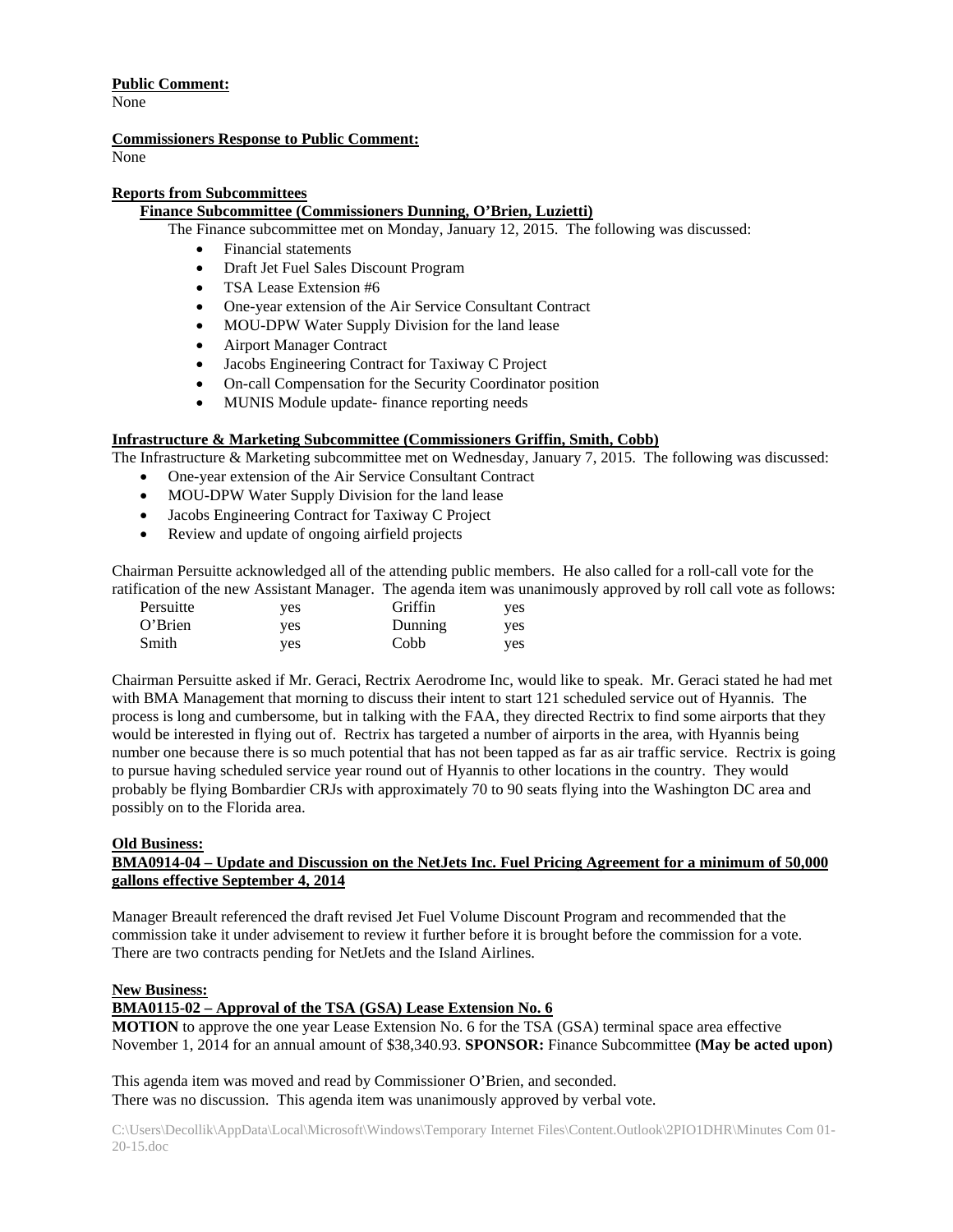### **Public Comment:**

None

# **Commissioners Response to Public Comment:**

None

### **Reports from Subcommittees**

# **Finance Subcommittee (Commissioners Dunning, O'Brien, Luzietti)**

The Finance subcommittee met on Monday, January 12, 2015. The following was discussed:

- Financial statements
- Draft Jet Fuel Sales Discount Program
- TSA Lease Extension #6
- One-year extension of the Air Service Consultant Contract
- MOU-DPW Water Supply Division for the land lease
- Airport Manager Contract
- Jacobs Engineering Contract for Taxiway C Project
- On-call Compensation for the Security Coordinator position
- MUNIS Module update- finance reporting needs

# **Infrastructure & Marketing Subcommittee (Commissioners Griffin, Smith, Cobb)**

The Infrastructure & Marketing subcommittee met on Wednesday, January 7, 2015. The following was discussed:

- One-year extension of the Air Service Consultant Contract
- MOU-DPW Water Supply Division for the land lease
- Jacobs Engineering Contract for Taxiway C Project
- Review and update of ongoing airfield projects

Chairman Persuitte acknowledged all of the attending public members. He also called for a roll-call vote for the ratification of the new Assistant Manager. The agenda item was unanimously approved by roll call vote as follows:

| Persuitte | yes | Griffin | yes |
|-----------|-----|---------|-----|
| O'Brien   | yes | Dunning | yes |
| Smith     | yes | Cobb    | ves |

Chairman Persuitte asked if Mr. Geraci, Rectrix Aerodrome Inc, would like to speak. Mr. Geraci stated he had met with BMA Management that morning to discuss their intent to start 121 scheduled service out of Hyannis. The process is long and cumbersome, but in talking with the FAA, they directed Rectrix to find some airports that they would be interested in flying out of. Rectrix has targeted a number of airports in the area, with Hyannis being number one because there is so much potential that has not been tapped as far as air traffic service. Rectrix is going to pursue having scheduled service year round out of Hyannis to other locations in the country. They would probably be flying Bombardier CRJs with approximately 70 to 90 seats flying into the Washington DC area and possibly on to the Florida area.

### **Old Business:**

# **BMA0914-04 – Update and Discussion on the NetJets Inc. Fuel Pricing Agreement for a minimum of 50,000 gallons effective September 4, 2014**

Manager Breault referenced the draft revised Jet Fuel Volume Discount Program and recommended that the commission take it under advisement to review it further before it is brought before the commission for a vote. There are two contracts pending for NetJets and the Island Airlines.

### **New Business:**

# **BMA0115-02 – Approval of the TSA (GSA) Lease Extension No. 6**

**MOTION** to approve the one year Lease Extension No. 6 for the TSA (GSA) terminal space area effective November 1, 2014 for an annual amount of \$38,340.93. **SPONSOR:** Finance Subcommittee **(May be acted upon)**

This agenda item was moved and read by Commissioner O'Brien, and seconded. There was no discussion. This agenda item was unanimously approved by verbal vote.

C:\Users\Decollik\AppData\Local\Microsoft\Windows\Temporary Internet Files\Content.Outlook\2PIO1DHR\Minutes Com 01- 20-15.doc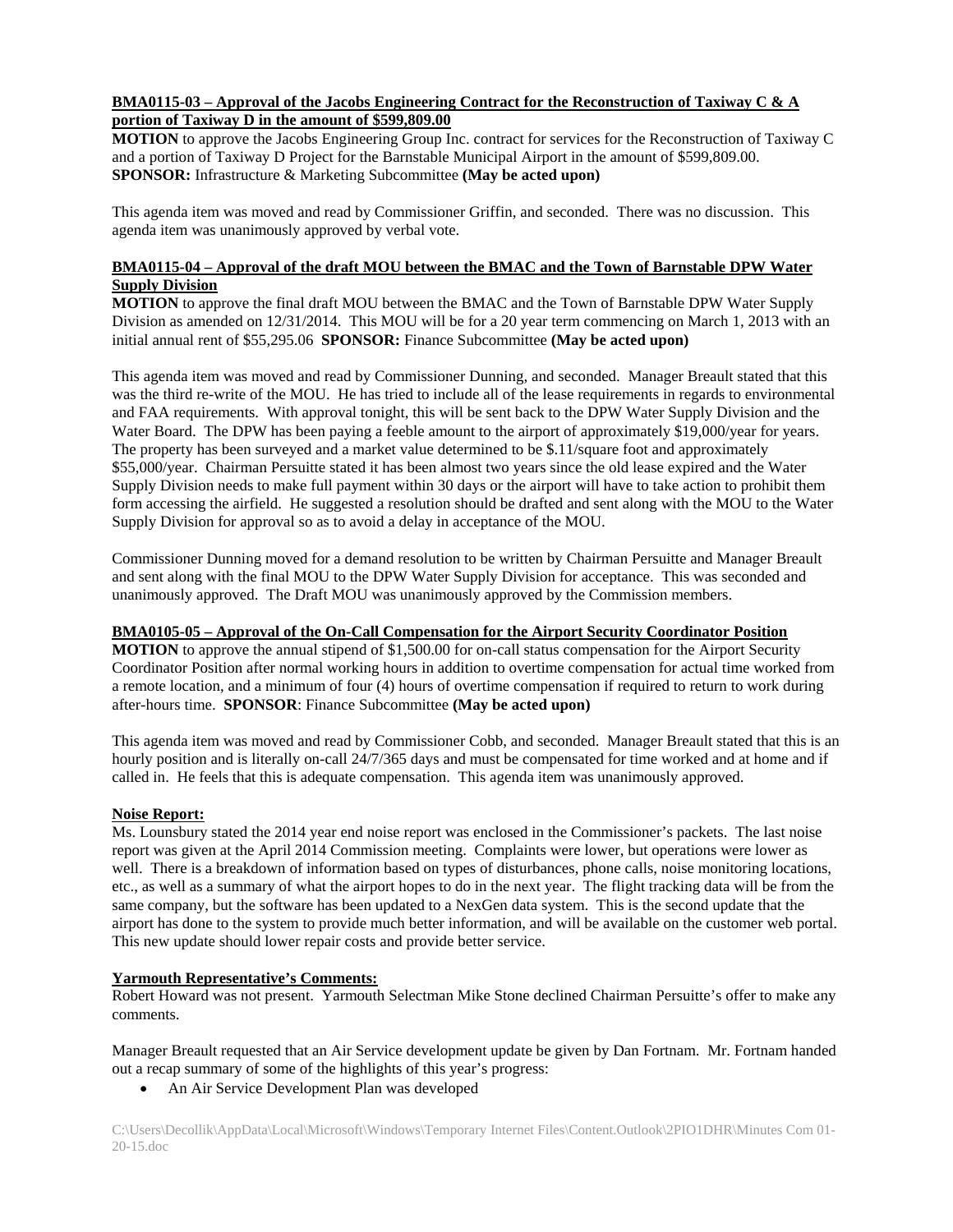### **BMA0115-03 – Approval of the Jacobs Engineering Contract for the Reconstruction of Taxiway C & A portion of Taxiway D in the amount of \$599,809.00**

**MOTION** to approve the Jacobs Engineering Group Inc. contract for services for the Reconstruction of Taxiway C and a portion of Taxiway D Project for the Barnstable Municipal Airport in the amount of \$599,809.00. **SPONSOR:** Infrastructure & Marketing Subcommittee **(May be acted upon)**

This agenda item was moved and read by Commissioner Griffin, and seconded. There was no discussion. This agenda item was unanimously approved by verbal vote.

### **BMA0115-04 – Approval of the draft MOU between the BMAC and the Town of Barnstable DPW Water Supply Division**

**MOTION** to approve the final draft MOU between the BMAC and the Town of Barnstable DPW Water Supply Division as amended on 12/31/2014. This MOU will be for a 20 year term commencing on March 1, 2013 with an initial annual rent of \$55,295.06 **SPONSOR:** Finance Subcommittee **(May be acted upon)**

This agenda item was moved and read by Commissioner Dunning, and seconded. Manager Breault stated that this was the third re-write of the MOU. He has tried to include all of the lease requirements in regards to environmental and FAA requirements. With approval tonight, this will be sent back to the DPW Water Supply Division and the Water Board. The DPW has been paying a feeble amount to the airport of approximately \$19,000/year for years. The property has been surveyed and a market value determined to be \$.11/square foot and approximately \$55,000/year. Chairman Persuitte stated it has been almost two years since the old lease expired and the Water Supply Division needs to make full payment within 30 days or the airport will have to take action to prohibit them form accessing the airfield. He suggested a resolution should be drafted and sent along with the MOU to the Water Supply Division for approval so as to avoid a delay in acceptance of the MOU.

Commissioner Dunning moved for a demand resolution to be written by Chairman Persuitte and Manager Breault and sent along with the final MOU to the DPW Water Supply Division for acceptance. This was seconded and unanimously approved. The Draft MOU was unanimously approved by the Commission members.

### **BMA0105-05 – Approval of the On-Call Compensation for the Airport Security Coordinator Position**

**MOTION** to approve the annual stipend of \$1,500.00 for on-call status compensation for the Airport Security Coordinator Position after normal working hours in addition to overtime compensation for actual time worked from a remote location, and a minimum of four (4) hours of overtime compensation if required to return to work during after-hours time. **SPONSOR**: Finance Subcommittee **(May be acted upon)**

This agenda item was moved and read by Commissioner Cobb, and seconded. Manager Breault stated that this is an hourly position and is literally on-call 24/7/365 days and must be compensated for time worked and at home and if called in. He feels that this is adequate compensation. This agenda item was unanimously approved.

### **Noise Report:**

Ms. Lounsbury stated the 2014 year end noise report was enclosed in the Commissioner's packets. The last noise report was given at the April 2014 Commission meeting. Complaints were lower, but operations were lower as well. There is a breakdown of information based on types of disturbances, phone calls, noise monitoring locations, etc., as well as a summary of what the airport hopes to do in the next year. The flight tracking data will be from the same company, but the software has been updated to a NexGen data system. This is the second update that the airport has done to the system to provide much better information, and will be available on the customer web portal. This new update should lower repair costs and provide better service.

### **Yarmouth Representative's Comments:**

Robert Howard was not present. Yarmouth Selectman Mike Stone declined Chairman Persuitte's offer to make any comments.

Manager Breault requested that an Air Service development update be given by Dan Fortnam. Mr. Fortnam handed out a recap summary of some of the highlights of this year's progress:

An Air Service Development Plan was developed

C:\Users\Decollik\AppData\Local\Microsoft\Windows\Temporary Internet Files\Content.Outlook\2PIO1DHR\Minutes Com 01- 20-15.doc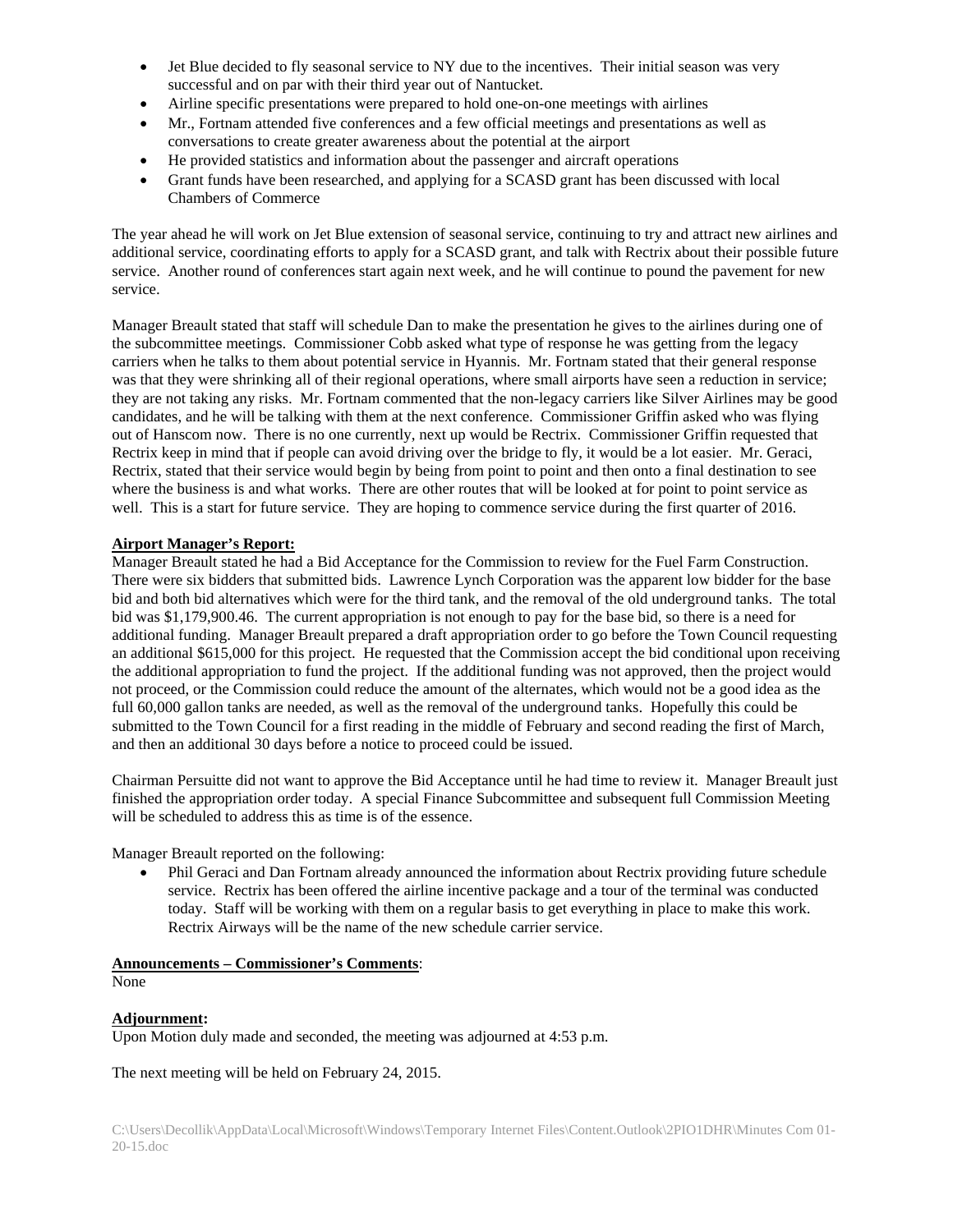- Jet Blue decided to fly seasonal service to NY due to the incentives. Their initial season was very successful and on par with their third year out of Nantucket.
- Airline specific presentations were prepared to hold one-on-one meetings with airlines
- Mr., Fortnam attended five conferences and a few official meetings and presentations as well as conversations to create greater awareness about the potential at the airport
- He provided statistics and information about the passenger and aircraft operations
- Grant funds have been researched, and applying for a SCASD grant has been discussed with local Chambers of Commerce

The year ahead he will work on Jet Blue extension of seasonal service, continuing to try and attract new airlines and additional service, coordinating efforts to apply for a SCASD grant, and talk with Rectrix about their possible future service. Another round of conferences start again next week, and he will continue to pound the pavement for new service.

Manager Breault stated that staff will schedule Dan to make the presentation he gives to the airlines during one of the subcommittee meetings. Commissioner Cobb asked what type of response he was getting from the legacy carriers when he talks to them about potential service in Hyannis. Mr. Fortnam stated that their general response was that they were shrinking all of their regional operations, where small airports have seen a reduction in service; they are not taking any risks. Mr. Fortnam commented that the non-legacy carriers like Silver Airlines may be good candidates, and he will be talking with them at the next conference. Commissioner Griffin asked who was flying out of Hanscom now. There is no one currently, next up would be Rectrix. Commissioner Griffin requested that Rectrix keep in mind that if people can avoid driving over the bridge to fly, it would be a lot easier. Mr. Geraci, Rectrix, stated that their service would begin by being from point to point and then onto a final destination to see where the business is and what works. There are other routes that will be looked at for point to point service as well. This is a start for future service. They are hoping to commence service during the first quarter of 2016.

#### **Airport Manager's Report:**

Manager Breault stated he had a Bid Acceptance for the Commission to review for the Fuel Farm Construction. There were six bidders that submitted bids. Lawrence Lynch Corporation was the apparent low bidder for the base bid and both bid alternatives which were for the third tank, and the removal of the old underground tanks. The total bid was \$1,179,900.46. The current appropriation is not enough to pay for the base bid, so there is a need for additional funding. Manager Breault prepared a draft appropriation order to go before the Town Council requesting an additional \$615,000 for this project. He requested that the Commission accept the bid conditional upon receiving the additional appropriation to fund the project. If the additional funding was not approved, then the project would not proceed, or the Commission could reduce the amount of the alternates, which would not be a good idea as the full 60,000 gallon tanks are needed, as well as the removal of the underground tanks. Hopefully this could be submitted to the Town Council for a first reading in the middle of February and second reading the first of March, and then an additional 30 days before a notice to proceed could be issued.

Chairman Persuitte did not want to approve the Bid Acceptance until he had time to review it. Manager Breault just finished the appropriation order today. A special Finance Subcommittee and subsequent full Commission Meeting will be scheduled to address this as time is of the essence.

Manager Breault reported on the following:

 Phil Geraci and Dan Fortnam already announced the information about Rectrix providing future schedule service. Rectrix has been offered the airline incentive package and a tour of the terminal was conducted today. Staff will be working with them on a regular basis to get everything in place to make this work. Rectrix Airways will be the name of the new schedule carrier service.

#### **Announcements – Commissioner's Comments**:

None

### **Adjournment:**

Upon Motion duly made and seconded, the meeting was adjourned at 4:53 p.m.

The next meeting will be held on February 24, 2015.